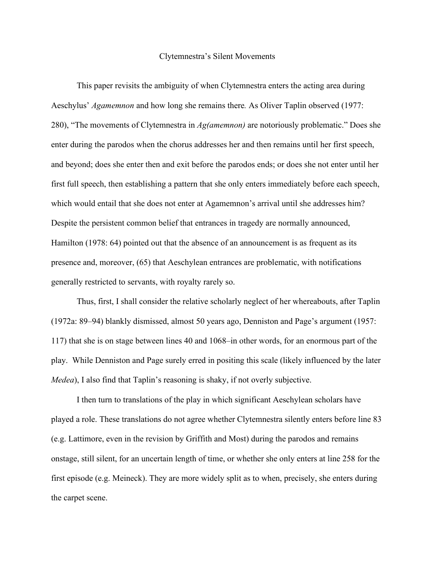## Clytemnestra's Silent Movements

This paper revisits the ambiguity of when Clytemnestra enters the acting area during Aeschylus' *Agamemnon* and how long she remains there*.* As Oliver Taplin observed (1977: 280), "The movements of Clytemnestra in *Ag(amemnon)* are notoriously problematic." Does she enter during the parodos when the chorus addresses her and then remains until her first speech, and beyond; does she enter then and exit before the parodos ends; or does she not enter until her first full speech, then establishing a pattern that she only enters immediately before each speech, which would entail that she does not enter at Agamemnon's arrival until she addresses him? Despite the persistent common belief that entrances in tragedy are normally announced, Hamilton (1978: 64) pointed out that the absence of an announcement is as frequent as its presence and, moreover, (65) that Aeschylean entrances are problematic, with notifications generally restricted to servants, with royalty rarely so.

Thus, first, I shall consider the relative scholarly neglect of her whereabouts, after Taplin (1972a: 89–94) blankly dismissed, almost 50 years ago, Denniston and Page's argument (1957: 117) that she is on stage between lines 40 and 1068–in other words, for an enormous part of the play. While Denniston and Page surely erred in positing this scale (likely influenced by the later *Medea*), I also find that Taplin's reasoning is shaky, if not overly subjective.

I then turn to translations of the play in which significant Aeschylean scholars have played a role. These translations do not agree whether Clytemnestra silently enters before line 83 (e.g. Lattimore, even in the revision by Griffith and Most) during the parodos and remains onstage, still silent, for an uncertain length of time, or whether she only enters at line 258 for the first episode (e.g. Meineck). They are more widely split as to when, precisely, she enters during the carpet scene.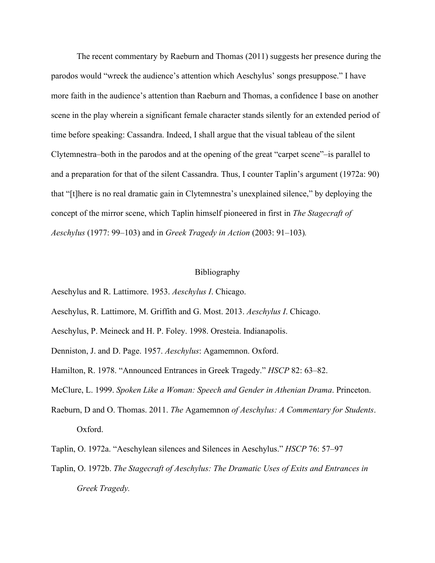The recent commentary by Raeburn and Thomas (2011) suggests her presence during the parodos would "wreck the audience's attention which Aeschylus' songs presuppose." I have more faith in the audience's attention than Raeburn and Thomas, a confidence I base on another scene in the play wherein a significant female character stands silently for an extended period of time before speaking: Cassandra. Indeed, I shall argue that the visual tableau of the silent Clytemnestra–both in the parodos and at the opening of the great "carpet scene"–is parallel to and a preparation for that of the silent Cassandra. Thus, I counter Taplin's argument (1972a: 90) that "[t]here is no real dramatic gain in Clytemnestra's unexplained silence," by deploying the concept of the mirror scene, which Taplin himself pioneered in first in *The Stagecraft of Aeschylus* (1977: 99–103) and in *Greek Tragedy in Action* (2003: 91–103)*.*

## Bibliography

- Aeschylus and R. Lattimore. 1953. *Aeschylus I*. Chicago.
- Aeschylus, R. Lattimore, M. Griffith and G. Most. 2013. *Aeschylus I*. Chicago.
- Aeschylus, P. Meineck and H. P. Foley. 1998. Oresteia. Indianapolis.
- Denniston, J. and D. Page. 1957. *Aeschylus*: Agamemnon. Oxford.
- Hamilton, R. 1978. "Announced Entrances in Greek Tragedy." *HSCP* 82: 63–82.
- McClure, L. 1999. *Spoken Like a Woman: Speech and Gender in Athenian Drama*. Princeton.
- Raeburn, D and O. Thomas. 2011. *The* Agamemnon *of Aeschylus: A Commentary for Students*. Oxford.
- Taplin, O. 1972a. "Aeschylean silences and Silences in Aeschylus." *HSCP* 76: 57–97
- Taplin, O. 1972b. *The Stagecraft of Aeschylus: The Dramatic Uses of Exits and Entrances in Greek Tragedy.*